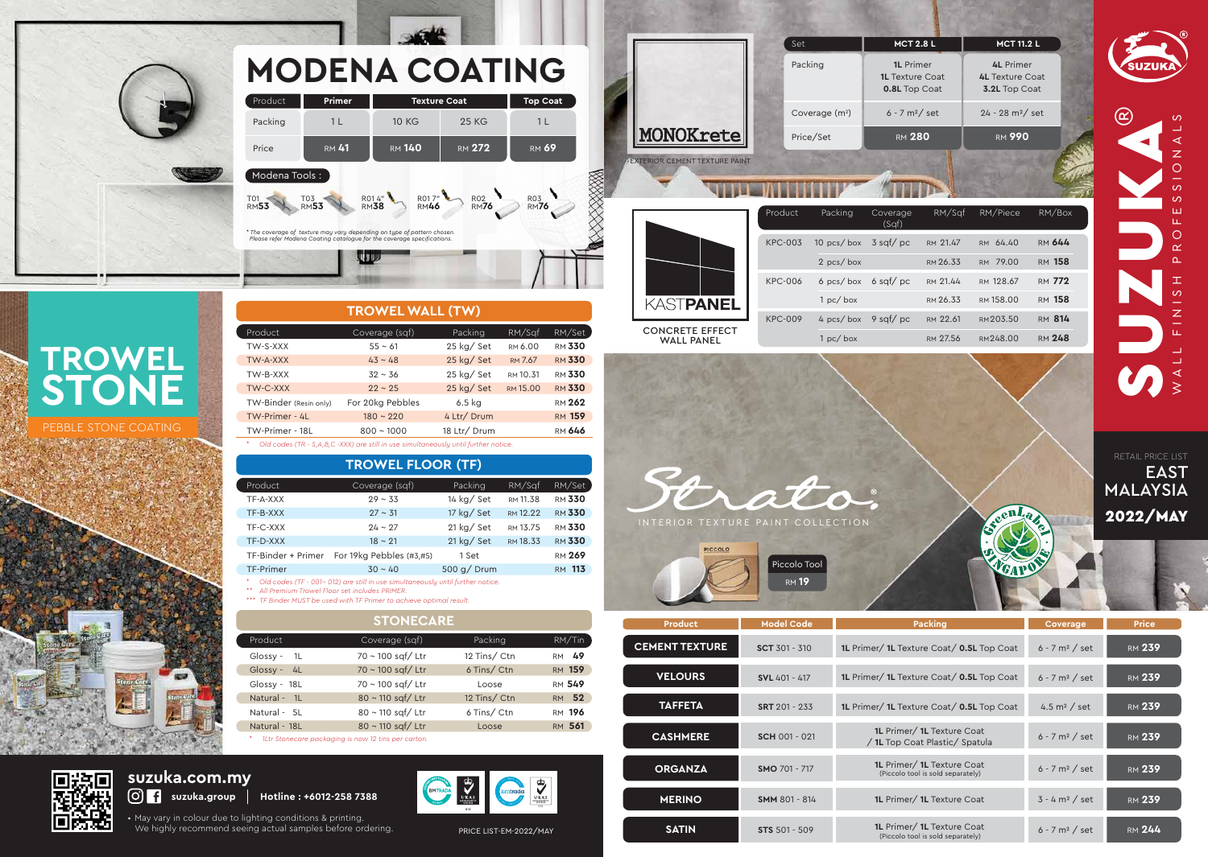A INTERIOR TEXTURE PAINT COLLECTION

PICCOLO Piccolo Tool RM **19**





| <b>Coverage</b>              |
|------------------------------|
| $6 - 7$ m <sup>2</sup> / set |
| $6 - 7$ m <sup>2</sup> / set |
| 4.5 $m2$ / set               |
| 6 - 7 m <sup>2</sup> / set   |
| $6 - 7 m2 / set$             |
| $3 - 4 m2 / set$             |
| $6 - 7$ m <sup>2</sup> / set |

|  | <b>Price</b>  |  |
|--|---------------|--|
|  | <b>RM 239</b> |  |
|  | RM 239        |  |
|  | <b>RM 239</b> |  |
|  | RM 239        |  |
|  | <b>RM 239</b> |  |
|  | <b>RM 239</b> |  |
|  | RM <b>244</b> |  |

• May vary in colour due to lighting conditions & printing. We highly recommend seeing actual samples before ordering. PRICE LIST-EM-2022/MAY

|                                      | Product        | Packing                     | Covera<br>(Saf) |
|--------------------------------------|----------------|-----------------------------|-----------------|
| KASTPANEL                            | <b>KPC-003</b> | 10 pcs/box $3$ sqf/ $\beta$ |                 |
|                                      |                | $2 pcs/b$ ox                |                 |
|                                      | KPC-006        | 6 pcs/box 6 sqf/ $\beta$    |                 |
|                                      |                | 1 pc / box                  |                 |
|                                      | <b>KPC-009</b> | 4 pcs/box $9$ sqf/p         |                 |
| <b>CONCRETE EFFECT</b><br>WALL PANEL |                | 1 pc / box                  |                 |

|                                      | Set                | <b>MCT 2.8 L</b>                                                   | <b>MCT 11.2 L</b>                                                  |        |
|--------------------------------------|--------------------|--------------------------------------------------------------------|--------------------------------------------------------------------|--------|
|                                      | Packing            | <b>1L</b> Primer<br><b>1L</b> Texture Coat<br><b>0.8L Top Coat</b> | <b>4L</b> Primer<br><b>4L</b> Texture Coat<br><b>3.2L Top Coat</b> |        |
|                                      | Coverage $(m2)$    | $6 - 7 m2/ set$                                                    | $24 - 28$ m <sup>2</sup> / set                                     |        |
| MONOKrete                            | Price/Set          | <b>RM 280</b>                                                      | <b>RM 990</b>                                                      |        |
| <b>EXTERIOR CEMENT TEXTURE PAINT</b> |                    |                                                                    |                                                                    |        |
|                                      |                    |                                                                    |                                                                    |        |
|                                      | Product<br>Packing | RM/Sqf<br>Coverage                                                 | RM/Piece                                                           | RM/Box |

## **suzuka.com.my suzuka.com.my**<br>© **f** suzuka.group | Hotline : +6012-258 7388

|                |              | (Sqf)       |          |           |               |
|----------------|--------------|-------------|----------|-----------|---------------|
| <b>KPC-003</b> | $10$ pcs/box | $3$ sqf/ pc | RM 21.47 | RM 64.40  | <b>RM 644</b> |
|                | $2 pcs/b$ ox |             | RM 26.33 | RM 79.00  | RM 158        |
| KPC-006        | $6$ pcs/box  | $6$ sqf/pc  | RM 21.44 | RM 128.67 | RM 772        |
|                | 1 pc / box   |             | RM 26.33 | RM 158.00 | RM 158        |
| <b>KPC-009</b> | $4 pcs/b$ ox | 9 sqf/pc    | RM 22.61 | RM 203.50 | RM 814        |
|                | 1 pc / box   |             | RM 27.56 | RM 248.00 | <b>RM 248</b> |

enl,





### **TROWEL WALL (TW)**

| Product                                                                                  | Coverage (sqf)   | Packing      | RM/Sqf   | RM/Set        |
|------------------------------------------------------------------------------------------|------------------|--------------|----------|---------------|
| TW-S-XXX                                                                                 | $55 \sim 61$     | 25 kg/Set    | RM 6.00  | <b>RM 330</b> |
| TW-A-XXX                                                                                 | $43 \sim 48$     | 25 kg/Set    | RM 7.67  | <b>RM 330</b> |
| TW-B-XXX                                                                                 | $32 \sim 36$     | $25$ kg/ Set | RM 10.31 | <b>RM 330</b> |
| TW-C-XXX                                                                                 | $22 \sim 25$     | 25 kg/Set    | RM 15.00 | <b>RM 330</b> |
| TW-Binder (Resin only)                                                                   | For 20kg Pebbles | 6.5 kg       |          | <b>RM 262</b> |
| TW-Primer - 4L                                                                           | $180 \sim 220$   | 4 Ltr/ Drum  |          | <b>RM 159</b> |
| TW-Primer - 18L                                                                          | $800 \sim 1000$  | 18 Ltr/ Drum |          | <b>RM 646</b> |
| $*$ Old codes (TD, C, A, B, C, VVV) are still in use simultaneously until further potion |                  |              |          |               |

*\* Old codes (TR - S,A,B,C -XXX) are still in use simultaneously until further notice.*

| Product            | Coverage (sqf)           | Packing                      | RM/Sqf   | RM/Set        |
|--------------------|--------------------------|------------------------------|----------|---------------|
| TF-A-XXX           | $29 \sim 33$             | 14 kg/ Set                   | RM 11.38 | <b>RM 330</b> |
| TF-B-XXX           | $27 \sim 31$             | 17 kg/ Set                   | RM 12.22 | <b>RM 330</b> |
| TF-C-XXX           | $24 \sim 27$             | $21 \text{ kg} / \text{Set}$ | RM 13.75 | <b>RM 330</b> |
| TF-D-XXX           | $18 \sim 21$             | $21$ kg/ Set                 | RM 18.33 | <b>RM 330</b> |
| TF-Binder + Primer | For 19kg Pebbles (#3,#5) | 1 Set                        |          | <b>RM 269</b> |
| TF-Primer          | $30 \sim 40$             | $500$ g/ Drum                |          | <b>RM 113</b> |

### **TROWEL FLOOR (TF)**

*\* Old codes (TF - 001~ 012) are still in use simultaneously until further notice.*

*\*\* All Premium Trowel Floor set includes PRIMER.*

*\*\*\* TF Binder MUST be used with TF Primer to achieve optimal result.*

| Product        | Coverage (sqf)         | Packing     | RM/Tin        |
|----------------|------------------------|-------------|---------------|
| Glossy - $1L$  | 70 ~ 100 sqf/ Ltr      | 12 Tins/Ctn | RM 49         |
| $Glossy - 4L$  | $70 \sim 100$ sqf/ Ltr | 6 Tins/Ctn  | RM 159        |
| Glossy - $18L$ | 70 ~ 100 sqf/ Ltr      | Loose       | <b>RM 549</b> |
| Natural - 1L   | 80 ~ 110 sqf/ Ltr      | 12 Tins/Ctn | RM 52         |
| Natural - 5L   | 80 ~ 110 sqf/ Ltr      | 6 Tins/Ctn  | RM 196        |
| Natural - 18L  | 80 ~ 110 sqf/ Ltr      | Loose       | RM 561        |
|                |                        |             |               |

#### **STONECARE**

*\* 1Ltr Stonecare packaging is now 12 tins per carton.*

## **TROWEL STONE**

PEBBLE STONE COATING





| Product                             | Primer             | <b>Texture Coat</b>   |                     | <b>Top Coat</b>     |
|-------------------------------------|--------------------|-----------------------|---------------------|---------------------|
| Packing                             | 11                 | <b>10 KG</b>          | <b>25 KG</b>        | $1 \mid$            |
| Price                               | <b>RM 41</b>       | <b>RM 140</b>         | <b>RM 272</b>       | <b>RM 69</b>        |
| Modena Tools:<br>T01<br><b>RM53</b> | T03<br><b>RM53</b> | <b>R017"</b><br>R014" | R02<br>RM <b>76</b> | R03<br>RM <b>76</b> |

| <b>Product</b>        | <b>Model Code</b>    | <b>Packing</b>                                                                | Coverage                     | <b>Price</b>  |
|-----------------------|----------------------|-------------------------------------------------------------------------------|------------------------------|---------------|
| <b>CEMENT TEXTURE</b> | <b>SCT 301 - 310</b> | 1L Primer/ 1L Texture Coat/ 0.5L Top Coat                                     | $6 - 7$ m <sup>2</sup> / set | <b>RM 239</b> |
| <b>VELOURS</b>        | <b>SVL</b> 401 - 417 | 1L Primer/ 1L Texture Coat/ 0.5L Top Coat                                     | $6 - 7$ m <sup>2</sup> / set | <b>RM 239</b> |
| <b>TAFFETA</b>        | <b>SRT</b> 201 - 233 | 1L Primer/ 1L Texture Coat/ 0.5L Top Coat                                     | 4.5 $m2$ / set               | <b>RM 239</b> |
| <b>CASHMERE</b>       | <b>SCH 001 - 021</b> | <b>1L</b> Primer/ <b>1L</b> Texture Coat<br>/ 1L Top Coat Plastic/ Spatula    | $6 - 7$ m <sup>2</sup> / set | <b>RM 239</b> |
| <b>ORGANZA</b>        | <b>SMO 701 - 717</b> | <b>1L</b> Primer/ <b>1L</b> Texture Coat<br>(Piccolo tool is sold separately) | $6 - 7$ m <sup>2</sup> / set | <b>RM 239</b> |
| <b>MERINO</b>         | <b>SMM 801 - 814</b> | <b>1L</b> Primer/ <b>1L</b> Texture Coat                                      | $3 - 4 m2$ / set             | <b>RM 239</b> |
| <b>SATIN</b>          | <b>STS</b> 501 - 509 | 1L Primer/ 1L Texture Coat<br>(Piccolo tool is sold separately)               | $6 - 7$ m <sup>2</sup> / set | <b>RM 244</b> |
|                       |                      |                                                                               |                              |               |